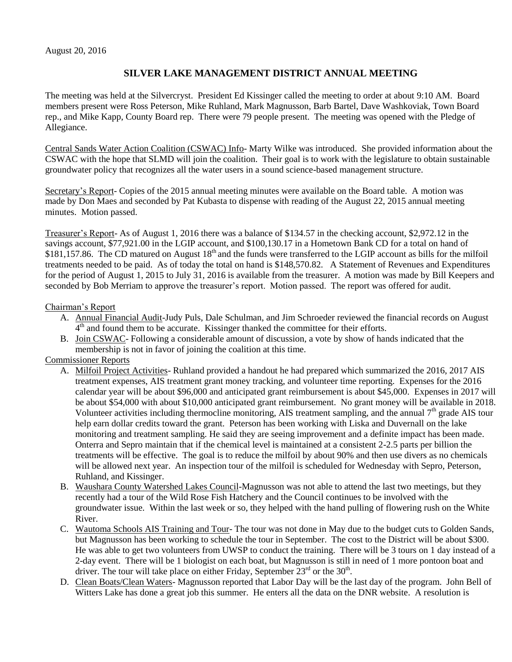## **SILVER LAKE MANAGEMENT DISTRICT ANNUAL MEETING**

The meeting was held at the Silvercryst. President Ed Kissinger called the meeting to order at about 9:10 AM. Board members present were Ross Peterson, Mike Ruhland, Mark Magnusson, Barb Bartel, Dave Washkoviak, Town Board rep., and Mike Kapp, County Board rep. There were 79 people present. The meeting was opened with the Pledge of Allegiance.

Central Sands Water Action Coalition (CSWAC) Info- Marty Wilke was introduced. She provided information about the CSWAC with the hope that SLMD will join the coalition. Their goal is to work with the legislature to obtain sustainable groundwater policy that recognizes all the water users in a sound science-based management structure.

Secretary's Report- Copies of the 2015 annual meeting minutes were available on the Board table. A motion was made by Don Maes and seconded by Pat Kubasta to dispense with reading of the August 22, 2015 annual meeting minutes. Motion passed.

Treasurer's Report- As of August 1, 2016 there was a balance of \$134.57 in the checking account, \$2,972.12 in the savings account, \$77,921.00 in the LGIP account, and \$100,130.17 in a Hometown Bank CD for a total on hand of \$181,157.86. The CD matured on August  $18<sup>th</sup>$  and the funds were transferred to the LGIP account as bills for the milfoil treatments needed to be paid. As of today the total on hand is \$148,570.82. A Statement of Revenues and Expenditures for the period of August 1, 2015 to July 31, 2016 is available from the treasurer. A motion was made by Bill Keepers and seconded by Bob Merriam to approve the treasurer's report. Motion passed. The report was offered for audit.

## Chairman's Report

- A. Annual Financial Audit-Judy Puls, Dale Schulman, and Jim Schroeder reviewed the financial records on August 4<sup>th</sup> and found them to be accurate. Kissinger thanked the committee for their efforts.
- B. Join CSWAC- Following a considerable amount of discussion, a vote by show of hands indicated that the membership is not in favor of joining the coalition at this time.

## Commissioner Reports

- A. Milfoil Project Activities- Ruhland provided a handout he had prepared which summarized the 2016, 2017 AIS treatment expenses, AIS treatment grant money tracking, and volunteer time reporting. Expenses for the 2016 calendar year will be about \$96,000 and anticipated grant reimbursement is about \$45,000. Expenses in 2017 will be about \$54,000 with about \$10,000 anticipated grant reimbursement. No grant money will be available in 2018. Volunteer activities including thermocline monitoring, AIS treatment sampling, and the annual  $7<sup>th</sup>$  grade AIS tour help earn dollar credits toward the grant. Peterson has been working with Liska and Duvernall on the lake monitoring and treatment sampling. He said they are seeing improvement and a definite impact has been made. Onterra and Sepro maintain that if the chemical level is maintained at a consistent 2-2.5 parts per billion the treatments will be effective. The goal is to reduce the milfoil by about 90% and then use divers as no chemicals will be allowed next year. An inspection tour of the milfoil is scheduled for Wednesday with Sepro, Peterson, Ruhland, and Kissinger.
- B. Waushara County Watershed Lakes Council-Magnusson was not able to attend the last two meetings, but they recently had a tour of the Wild Rose Fish Hatchery and the Council continues to be involved with the groundwater issue. Within the last week or so, they helped with the hand pulling of flowering rush on the White River.
- C. Wautoma Schools AIS Training and Tour- The tour was not done in May due to the budget cuts to Golden Sands, but Magnusson has been working to schedule the tour in September. The cost to the District will be about \$300. He was able to get two volunteers from UWSP to conduct the training. There will be 3 tours on 1 day instead of a 2-day event. There will be 1 biologist on each boat, but Magnusson is still in need of 1 more pontoon boat and driver. The tour will take place on either Friday, September  $23^{\text{rd}}$  or the  $30^{\text{th}}$ .
- D. Clean Boats/Clean Waters- Magnusson reported that Labor Day will be the last day of the program. John Bell of Witters Lake has done a great job this summer. He enters all the data on the DNR website. A resolution is